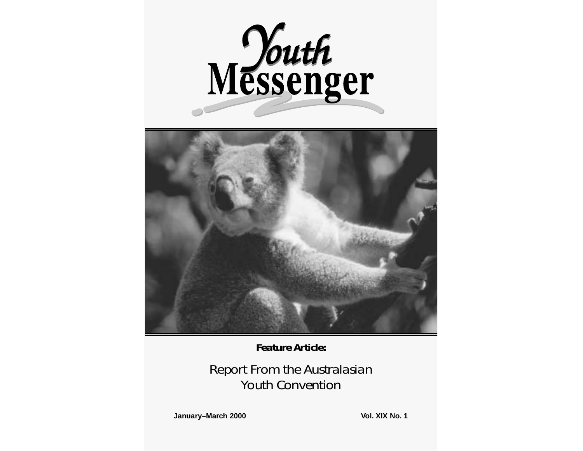



*Feature Article:*

*Report From the Australasian Youth Convention*

**January–March 2000 Vol. XIX No. 1**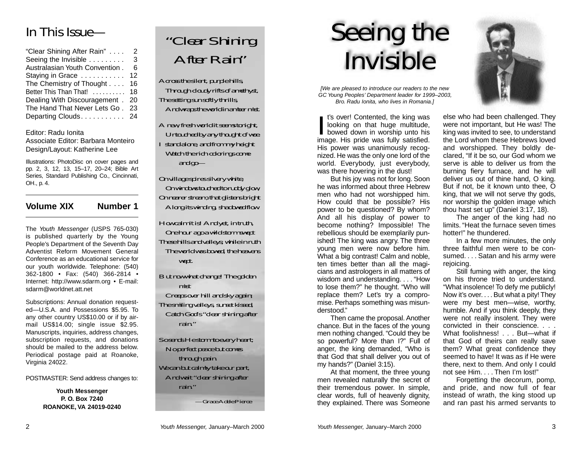# *In This Issue—*

| "Clear Shining After Rain"     | 2  |
|--------------------------------|----|
| Seeing the Invisible           | 3  |
| Australasian Youth Convention. | 6  |
| Staying in Grace               | 12 |
| The Chemistry of Thought       | 16 |
| Better This Than That!         | 18 |
| Dealing With Discouragement.   | 20 |
| The Hand That Never Lets Go.   | 23 |
| Departing Clouds. 24           |    |

Editor: Radu Ionita

Associate Editor: Barbara Monteiro Design/Layout: Katherine Lee

Illustrations: PhotoDisc on cover pages and pp. 2, 3, 12, 13, 15–17, 20–24; Bible Art Series, Standard Publishing Co., Cincinnati, OH., p. 4.

#### **Volume XIX Number 1**

The Youth Messenger (USPS 765-030) is published quarterly by the Young People's Department of the Seventh Day Adventist Reform Movement General Conference as an educational service for our youth worldwide. Telephone: (540) 362-1800 • Fax: (540) 366-2814 • Internet: http://www.sdarm.org • E-mail: sdarm@worldnet.att.net

Subscriptions: Annual donation requested—U.S.A. and Possessions \$5.95. To any other country US\$10.00 or if by airmail US\$14.00; single issue \$2.95. Manuscripts, inquiries, address changes, subscription requests, and donations should be mailed to the address below. Periodical postage paid at Roanoke, Virginia 24022.

POSTMASTER: Send address changes to:

**Youth Messenger P. O. Box 7240 ROANOKE, VA 24019-0240**



*Across the silent, purple hills, Through cloudy rifts of amethyst, The setting sun softly thrills, And wraps the world in amber mist.*

*A new, fresh world it seems tonight, Untouched by any thought of woe. I stand alone, and from my height Watch the rich colorings come and go—*

*On village spires silvery white, On windows touched to ruddy glow, On nearer stream, that glistens bright Along its winding, shadowed flow.*

*How calm it is! And yet, in truth, One hour ago a wild storm swept These hills and valleys; while in ruth The world was bowed, the heavens wept.*

*But now what change! The golden mist*

*Creeps over hill and sky again; The smiling valleys, sunset kissed, Catch God's "clear shining after rain."*

*So sends He storm to every heart; No perfect peace but comes through pain. We can but calmly take our part, And wait "clear shining after rain."*

*—Grace Adele Pierce*

# *Seeing the Invisible*

[We are pleased to introduce our readers to the new GC Young Peoples' Department leader for 1999–2003, Bro. Radu Ionita, who lives in Romania.]

*I* is over! Contented, the king was looking on that huge multitude, bowed down in worship unto his image. His pride was fully satisfied. His power was unanimously recognized. He was the only one lord of the world. Everybody, just everybody, was there hovering in the dust!

But his joy was not for long. Soon he was informed about three Hebrew men who had not worshipped him. How could that be possible? His power to be questioned? By whom? And all his display of power to become nothing? Impossible! The rebellious should be exemplarily punished! The king was angry. The three young men were now before him. What a big contrast! Calm and noble, ten times better than all the magicians and astrologers in all matters of wisdom and understanding. . . . "How to lose them?" he thought. "Who will replace them? Let's try a compromise. Perhaps something was misunderstood."

Then came the proposal. Another chance. But in the faces of the young men nothing changed. "Could they be so powerful? More than I?" Full of anger, the king demanded, "Who is that God that shall deliver you out of my hands?" (Daniel 3:15).

At that moment, the three young men revealed naturally the secret of their tremendous power. In simple, clear words, full of heavenly dignity, they explained. There was Someone



else who had been challenged. They were not important, but He was! The king was invited to see, to understand the Lord whom these Hebrews loved and worshipped. They boldly declared, "If it be so, our God whom we serve is able to deliver us from the burning fiery furnace, and he will deliver us out of thine hand, O king. But if not, be it known unto thee, O king, that we will not serve thy gods, nor worship the golden image which thou hast set up" (Daniel 3:17, 18).

The anger of the king had no limits. "Heat the furnace seven times hotter!" he thundered.

In a few more minutes, the only three faithful men were to be consumed. ... Satan and his army were rejoicing.

Still fuming with anger, the king on his throne tried to understand. "What insolence! To defy me publicly! Now it's over.... But what a pity! They were my best men—wise, worthy, humble. And if you think deeply, they were not really insolent. They were convicted in their conscience.... What foolishness! . . . But--what if that God of theirs can really save them? What great confidence they seemed to have! It was as if He were there, next to them. And only I could not see Him. . . . Then I'm lost!"

Forgetting the decorum, pomp, and pride, and now full of fear instead of wrath, the king stood up and ran past his armed servants to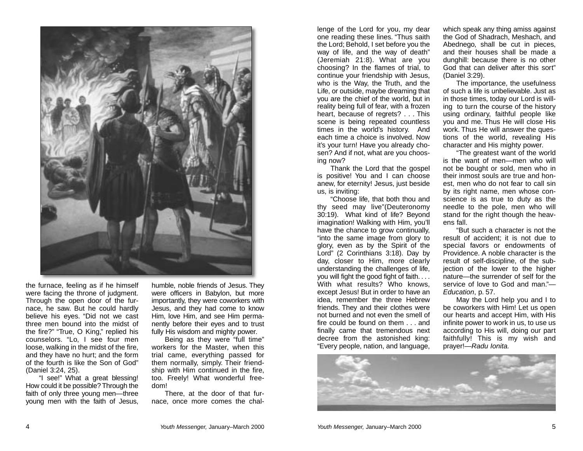

the furnace, feeling as if he himself were facing the throne of judgment. Through the open door of the furnace, he saw. But he could hardly believe his eyes. "Did not we cast three men bound into the midst of the fire?" "True, O King," replied his counselors. "Lo, I see four men loose, walking in the midst of the fire, and they have no hurt; and the form of the fourth is like the Son of God" (Daniel 3:24, 25).

"I see!" What a great blessing! How could it be possible? Through the faith of only three young men—three young men with the faith of Jesus,

humble, noble friends of Jesus. They were officers in Babylon, but more importantly, they were coworkers with Jesus, and they had come to know Him, love Him, and see Him permanently before their eyes and to trust fully His wisdom and mighty power.

Being as they were "full time" workers for the Master, when this trial came, everything passed for them normally, simply. Their friendship with Him continued in the fire, too. Freely! What wonderful freedom!

There, at the door of that furnace, once more comes the challenge of the Lord for you, my dear one reading these lines. "Thus saith the Lord; Behold, I set before you the way of life, and the way of death" (Jeremiah 21:8). What are you choosing? In the flames of trial, to continue your friendship with Jesus, who is the Way, the Truth, and the Life, or outside, maybe dreaming that you are the chief of the world, but in reality being full of fear, with a frozen heart, because of regrets? . . . This scene is being repeated countless times in the world's history. And each time a choice is involved. Now it's your turn! Have you already chosen? And if not, what are you choosing now?

Thank the Lord that the gospel is positive! You and I can choose anew, for eternity! Jesus, just beside us, is inviting:

"Choose life, that both thou and thy seed may live"(Deuteronomy 30:19). What kind of life? Beyond imagination! Walking with Him, you'll have the chance to grow continually, "into the same image from glory to glory, even as by the Spirit of the Lord" (2 Corinthians 3:18). Day by day, closer to Him, more clearly understanding the challenges of life, you will fight the good fight of faith. . . . With what results? Who knows, except Jesus! But in order to have an idea, remember the three Hebrew friends. They and their clothes were not burned and not even the smell of fire could be found on them . . . and finally came that tremendous next decree from the astonished king: "Every people, nation, and language, which speak any thing amiss against the God of Shadrach, Meshach, and Abednego, shall be cut in pieces, and their houses shall be made a dunghill: because there is no other God that can deliver after this sort" (Daniel 3:29).

The importance, the usefulness of such a life is unbelievable. Just as in those times, today our Lord is willing to turn the course of the history using ordinary, faithful people like you and me. Thus He will close His work. Thus He will answer the questions of the world, revealing His character and His mighty power.

"The greatest want of the world is the want of men—men who will not be bought or sold, men who in their inmost souls are true and honest, men who do not fear to call sin by its right name, men whose conscience is as true to duty as the needle to the pole, men who will stand for the right though the heavens fall.

"But such a character is not the result of accident; it is not due to special favors or endowments of Providence. A noble character is the result of self-discipline, of the subjection of the lower to the higher nature—the surrender of self for the service of love to God and man."— Education, p. 57.

May the Lord help you and I to be coworkers with Him! Let us open our hearts and accept Him, with His infinite power to work in us, to use us according to His will, doing our part faithfully! This is my wish and prayer!—Radu Ionita.

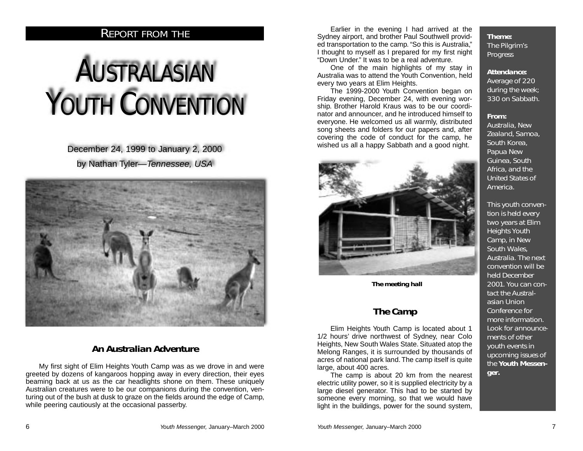## *REPORT FROM THE*

# *AUSTRALASIAN* YOUTH
CONVENTION

December 24, 1999 to January 2, 2000 by Nathan Tyler— Tennessee, USA



#### *An Australian Adventure*

My first sight of Elim Heights Youth Camp was as we drove in and were greeted by dozens of kangaroos hopping away in every direction, their eyes beaming back at us as the car headlights shone on them. These uniquely Australian creatures were to be our companions during the convention, venturing out of the bush at dusk to graze on the fields around the edge of Camp. while peering cautiously at the occasional passerby.

Earlier in the evening I had arrived at the Sydney airport, and brother Paul Southwell provided transportation to the camp. "So this is Australia," I thought to myself as I prepared for my first night "Down Under." It was to be a real adventure.

One of the main highlights of my stay in Australia was to attend the Youth Convention, held every two years at Elim Heights.

The 1999-2000 Youth Convention began on Friday evening, December 24, with evening worship. Brother Harold Kraus was to be our coordinator and announcer, and he introduced himself to everyone. He welcomed us all warmly, distributed song sheets and folders for our papers and, after covering the code of conduct for the camp, he wished us all a happy Sabbath and a good night.



*The meeting hall*

## *The Camp*

Elim Heights Youth Camp is located about 1 1/2 hours' drive northwest of Sydney, near Colo Heights, New South Wales State. Situated atop the Melong Ranges, it is surrounded by thousands of acres of national park land. The camp itself is quite large, about 400 acres.

The camp is about 20 km from the nearest electric utility power, so it is supplied electricity by a large diesel generator. This had to be started by someone every morning, so that we would have light in the buildings, power for the sound system,

*Theme: The Pilgrim's Progress*

#### *Attendance:*

*Average of 220 during the week; 330 on Sabbath.*

#### *From:*

*Australia, New Zealand, Samoa, South Korea, Papua New Guinea, South Africa, and the United States of America.*

*This youth convention is held every two years at Elim Heights Youth Camp, in New South Wales, Australia. The next convention will be held December 2001. You can contact the Australasian Union Conference for more information. Look for announcements of other youth events in upcoming issues of the Youth Messenger.*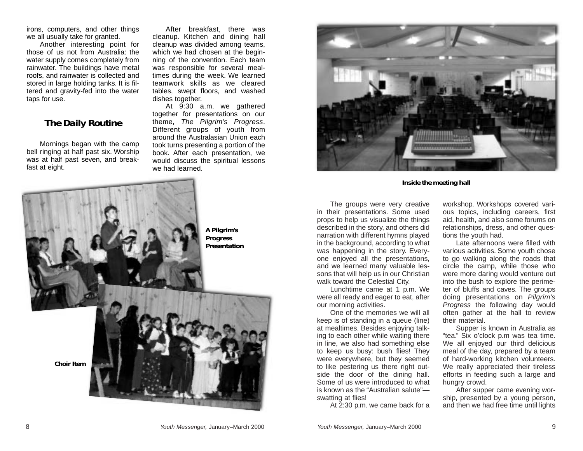irons, computers, and other things we all usually take for granted.

Another interesting point for those of us not from Australia: the water supply comes completely from rainwater. The buildings have metal roofs, and rainwater is collected and stored in large holding tanks. It is filtered and gravity-fed into the water taps for use.

#### *The Daily Routine*

Mornings began with the camp bell ringing at half past six. Worship was at half past seven, and breakfast at eight.

After breakfast, there was cleanup. Kitchen and dining hall cleanup was divided among teams, which we had chosen at the beginning of the convention. Each team was responsible for several mealtimes during the week. We learned teamwork skills as we cleared tables, swept floors, and washed dishes together.

At 9:30 a.m. we gathered together for presentations on our theme, The Pilgrim's Progress. Different groups of youth from around the Australasian Union each took turns presenting a portion of the book. After each presentation, we would discuss the spiritual lessons we had learned.



*Inside the meeting hall*



The groups were very creative in their presentations. Some used props to help us visualize the things described in the story, and others did narration with different hymns played in the background, according to what was happening in the story. Everyone enjoyed all the presentations, and we learned many valuable lessons that will help us in our Christian walk toward the Celestial City.

Lunchtime came at 1 p.m. We were all ready and eager to eat, after our morning activities.

One of the memories we will all keep is of standing in a queue (line) at mealtimes. Besides enjoying talking to each other while waiting there in line, we also had something else to keep us busy: bush flies! They were everywhere, but they seemed to like pestering us there right outside the door of the dining hall. Some of us were introduced to what is known as the "Australian salute" swatting at flies!

At 2:30 p.m. we came back for a

workshop. Workshops covered various topics, including careers, first aid, health, and also some forums on relationships, dress, and other questions the youth had.

Late afternoons were filled with various activities. Some youth chose to go walking along the roads that circle the camp, while those who were more daring would venture out into the bush to explore the perimeter of bluffs and caves. The groups doing presentations on *Pilgrim's* Progress the following day would often gather at the hall to review their material.

Supper is known in Australia as "tea." Six o'clock p.m was tea time. We all enjoyed our third delicious meal of the day, prepared by a team of hard-working kitchen volunteers. We really appreciated their tireless efforts in feeding such a large and hungry crowd.

After supper came evening worship, presented by a young person, and then we had free time until lights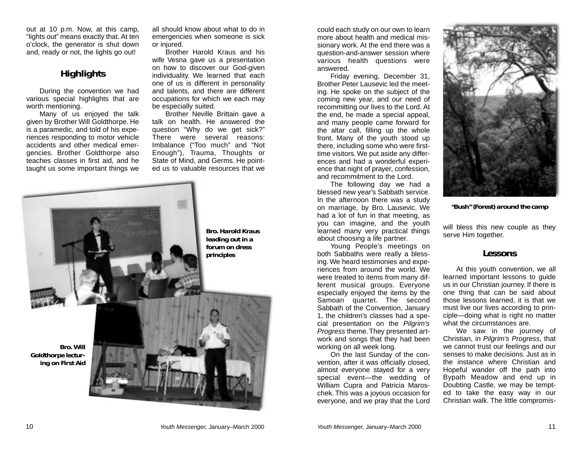out at 10 p.m. Now, at this camp, "lights out" means exactly that. At ten <sup>o</sup>'clock, the generator is shut down and, ready or not, the lights go out!

#### *Highlights*

During the convention we had various special highlights that are worth mentioning.

Many of us enjoyed the talk given by Brother Will Goldthorpe. He is a paramedic, and told of his experiences responding to motor vehicle accidents and other medical emergencies. Brother Goldthorpe also teaches classes in first aid, and he taught us some important things we all should know about what to do in emergencies when someone is sick or injured.

Brother Harold Kraus and his wife Vesna gave us a presentation on how to discover our God-given individuality. We learned that each one of us is different in personality and talents, and there are different occupations for which we each may be especially suited.

Brother Neville Brittain gave a talk on health. He answered the question "Why do we get sick?" There were several reasons: Imbalance ("Too much" and "Not Enough"), Trauma, Thoughts or State of Mind, and Germs. He pointed us to valuable resources that we

*Bro. Harold Kraus leading out in a forum on dress principles Bro. Will Goldthorpe lecturing on First Aid*

could each study on our own to learn more about health and medical missionary work. At the end there was a question-and-answer session where various health questions were answered.

Friday evening, December 31, Brother Peter Lausevic led the meeting. He spoke on the subject of the coming new year, and our need of recommitting our lives to the Lord. At the end, he made a special appeal, and many people came forward for the altar call, filling up the whole front. Many of the youth stood up there, including some who were firsttime visitors. We put aside any differences and had a wonderful experience that night of prayer, confession, and recommitment to the Lord.

The following day we had a blessed new year's Sabbath service. In the afternoon there was a study on marriage, by Bro. Lausevic. We had a lot of fun in that meeting, as you can imagine, and the youth learned many very practical things about choosing a life partner.

Young People's meetings on both Sabbaths were really a blessing. We heard testimonies and experiences from around the world. We were treated to items from many different musical groups. Everyone especially enjoyed the items by the Samoan quartet. The second Sabbath of the Convention, January 1, the children's classes had a special presentation on the Pilgrim's Progress theme. They presented artwork and songs that they had been working on all week long.

On the last Sunday of the convention, after it was officially closed, almost everyone stayed for a very special event—the wedding of William Cupra and Patricia Maroschek. This was a joyous occasion for everyone, and we pray that the Lord



*"Bush" (Forest) around the camp*

will bless this new couple as they serve Him together.

#### *Lessons*

At this youth convention, we all learned important lessons to guide us in our Christian journey. If there is one thing that can be said about those lessons learned, it is that we must live our lives according to principle—doing what is right no matter what the circumstances are.

We saw in the journey of Christian, in Pilgrim's Progress, that we cannot trust our feelings and our senses to make decisions. Just as in the instance where Christian and Hopeful wander off the path into Bypath Meadow and end up in Doubting Castle, we may be tempted to take the easy way in our Christian walk. The little compromis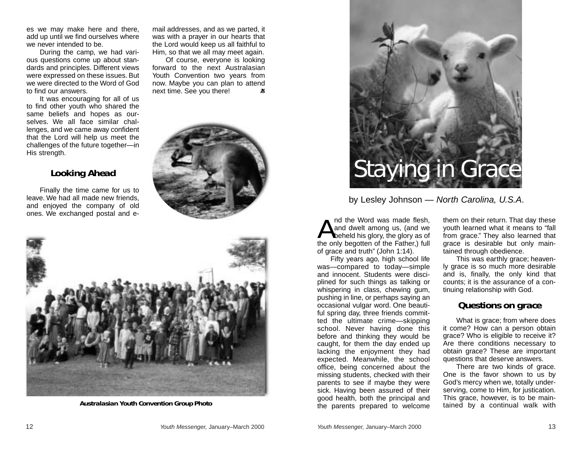es we may make here and there, add up until we find ourselves where we never intended to be.

During the camp, we had various questions come up about standards and principles. Different views were expressed on these issues. But we were directed to the Word of God to find our answers.

It was encouraging for all of us to find other youth who shared the same beliefs and hopes as ourselves. We all face similar challenges, and we came away confident that the Lord will help us meet the challenges of the future together—in His strength.

#### *Looking Ahead*

Finally the time came for us to leave. We had all made new friends, and enjoyed the company of old ones. We exchanged postal and email addresses, and as we parted, it was with a prayer in our hearts that the Lord would keep us all faithful to Him, so that we all may meet again.

Of course, everyone is looking forward to the next Australasian Youth Convention two years from now. Maybe you can plan to attend next time. See you there! 老





*Australasian Youth Convention Group Photo*



by Lesley Johnson — North Carolina, U.S.A.

**A**nd the Word was made flesh, and dwelt among us, (and we beheld his glory, the glory as of the only begotten of the Father,) full of grace and truth" (John 1:14).

Fifty years ago, high school life was—compared to today—simple and innocent. Students were disciplined for such things as talking or whispering in class, chewing gum, pushing in line, or perhaps saying an occasional vulgar word. One beautiful spring day, three friends committed the ultimate crime—skipping school. Never having done this before and thinking they would be caught, for them the day ended up lacking the enjoyment they had expected. Meanwhile, the school office, being concerned about the missing students, checked with their parents to see if maybe they were sick. Having been assured of their good health, both the principal and the parents prepared to welcome

them on their return. That day these youth learned what it means to "fall from grace." They also learned that grace is desirable but only maintained through obedience.

This was earthly grace; heavenly grace is so much more desirable and is, finally, the only kind that counts; it is the assurance of a continuing relationship with God.

#### *Questions on grace*

What is grace; from where does it come? How can a person obtain grace? Who is eligible to receive it? Are there conditions necessary to obtain grace? These are important questions that deserve answers.

There are two kinds of grace. One is the favor shown to us by God's mercy when we, totally underserving, come to Him, for justication. This grace, however, is to be maintained by a continual walk with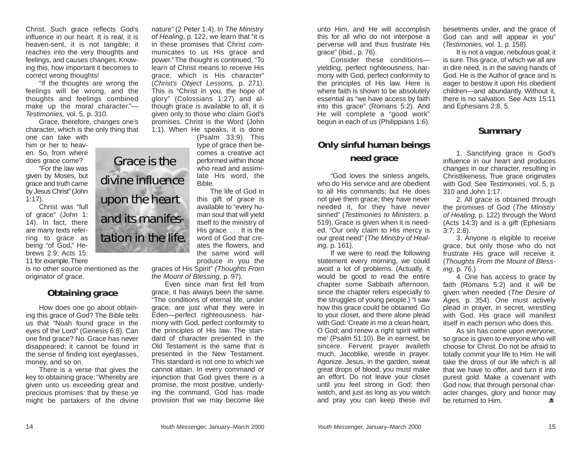Christ. Such grace reflects God's influence in our heart. It is real, it is heaven-sent, it is not tangible; it reaches into the very thoughts and feelings, and causes changes. Knowing this, how important it becomes to correct wrong thoughts!

"If the thoughts are wrong the feelings will be wrong, and the thoughts and feelings combined make up the moral character." — Testimonies, vol. 5, p. 310.

Grace, therefore, changes one's character, which is the only thing that

one can take with him or her to heaven. So, from where does grace come?

"For the law was given by Moses, but grace and truth came by Jesus Christ"(John 1:17).

Christ was "full of grace" (John 1: 14). In fact, there are many texts referring to grace as being "of God," Hebrews 2:9; Acts 15: 11 for example.There

is no other source mentioned as the originator of grace.

#### *Obtaining grace*

How does one go about obtaining this grace of God? The Bible tells us that "Noah found grace in the eyes of the Lord" (Genesis 6:8). Can one find grace? No. Grace has never disappeared; it cannot be found in the sense of finding lost eyeglasses, money, and so on.

There is a verse that gives the key to obtaining grace: "Whereby are given unto us exceeding great and precious promises: that by these ye might be partakers of the divine

*Grace is the divine influence upon the heart and its manifestation in the life.*

nature" (2 Peter 1:4). In The Ministry of Healing, p. 122, we learn that "it is in these promises that Christ communicates to us His grace and power." The thought is continued, "To learn of Christ means to receive His grace, which is His character" (Christ's Object Lessons, p. 271). This is "Christ in you, the hope of glory" (Colossians 1:27) and although grace is available to all, it is given only to those who claim God's promises. Christ is the Word (John 1:1). When He speaks, it is done

> (Psalm 33:9). This type of grace then becomes a creative act performed within those who read and assimilate His word, the Bible.

> The life of God in this gift of grace is available to "every human soul that will yield itself to the ministry of His grace. . . . It is the word of God that creates the flowers, and the same word will produce in you the

graces of His Spirit" (Thoughts From the Mount of Blessing, p. 97).

Even since man first fell from grace, it has always been the same. "The conditions of eternal life, under grace, are just what they were in Eden—perfect righteousness, harmony with God, perfect conformity to the principles of His law. The standard of character presented in the Old Testament is the same that is presented in the New Testament. This standard is not one to which we cannot attain. In every command or injunction that God gives there is a promise, the most positive, underlying the command. God has made provision that we may become like

unto Him, and He will accomplish this for all who do not interpose a perverse will and thus frustrate His grace" (Ibid., p. 76).

Consider these conditions yielding, perfect righteousness, harmony with God, perfect conformity to the principles of His law. Here is where faith is shown to be absolutely essential as "we have access by faith into this grace" (Romans 5:2). And He will complete a "good work" begun in each of us (Philippians 1:6).

### *Only sinful human beings need grace*

"God loves the sinless angels, who do His service and are obedient to all His commands; but He does not give them grace; they have never needed it, for they have never sinned" ( Testimonies to Ministers, p. 519). Grace is given when it is needed. "Our only claim to His mercy is our great need" (The Ministry of Healing, p. 161).

If we were to read the following statement every morning, we could avoid a lot of problems. (Actually, it would be good to read the entire chapter some Sabbath afternoon, since the chapter refers especially to the struggles of young people.) "I saw how this grace could be obtained. Go to your closet, and there alone plead with God:'Create in me a clean heart, O God; and renew a right spirit within me' (Psalm 51:10). Be in earnest, be sincere. Fervent prayer availeth much. Jacoblike, wrestle in prayer. Agonize. Jesus, in the garden, sweat great drops of blood; you must make an effort. Do not leave your closet until you feel strong in God; then watch, and just as long as you watch and pray you can keep these evil

besetments under, and the grace of God can and will appear in you" (Testimonies, vol. 1, p. 158).

It is not a vague, nebulous goal; it is sure.This grace, of which we all are in dire need, is in the saving hands of God. He is the Author of grace and is eager to bestow it upon His obedient children—and abundantly. Without it, there is no salvation. See Acts 15:11 and Ephesians 2:8, 5.

#### *Summary*

1. Sanctifying grace is God's influence in our heart and produces changes in our character, resulting in Christlikeness. True grace originates with God. See Testimonies, vol. 5, p. 310 and John 1:17.

2. All grace is obtained through the promises of God (The Ministry of Healing, p. 122) through the Word (Acts 14:3) and is a gift (Ephesians 3:7; 2:8).

3. Anyone is eligible to receive grace, but only those who do not frustrate His grace will receive it. (Thoughts From the Mount of Blessing, p. 76.)

4. One has access to grace by faith (Romans 5:2) and it will be given when needed (The Desire of Ages, p. 354). One must actively plead in prayer, in secret, wrestling with God. His grace will manifest itself in each person who does this.

As sin has come upon everyone, so grace is given to everyone who will choose for Christ. Do not be afraid to totally commit your life to Him. He will take the dross of our life which is all that we have to offer, and turn it into purest gold. Make a covenant with God now, that through personal character changes, glory and honor may be returned to Him.  $\mathcal{M}$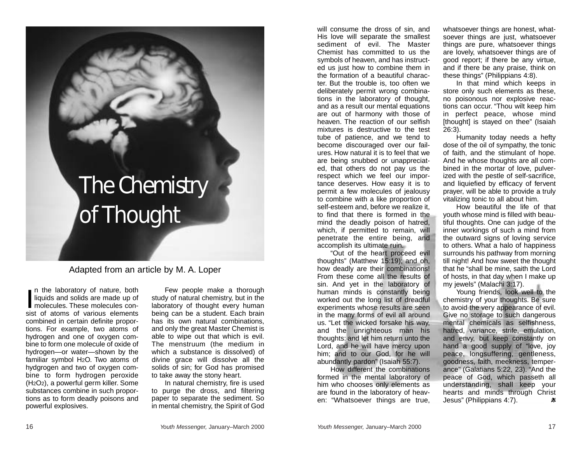# *The Chemistry of Thought*

Adapted from an article by M. A. Loper

**I** n the laboratory of nature, both liquids and solids are made up of molecules. These molecules consist of atoms of various elements combined in certain definite proportions. For example, two atoms of hydrogen and one of oxygen combine to form one molecule of oxide of hydrogen—or water—shown by the familiar symbol H2O. Two atoms of hydgrogen and two of oxygen combine to form hydrogen peroxide (H2O2), a powerful germ killer. Some substances combine in such proportions as to form deadly poisons and powerful explosives.

Few people make a thorough study of natural chemistry, but in the laboratory of thought every human being can be a student. Each brain has its own natural combinations, and only the great Master Chemist is able to wipe out that which is evil. The menstruum (the medium in which a substance is dissolved) of divine grace will dissolve all the solids of sin; for God has promised to take away the stony heart.

In natural chemistry, fire is used to purge the dross, and filtering paper to separate the sediment. So in mental chemistry, the Spirit of God will consume the dross of sin, and His love will separate the smallest sediment of evil. The Master Chemist has committed to us the symbols of heaven, and has instructed us just how to combine them in the formation of a beautiful character. But the trouble is, too often we deliberately permit wrong combinations in the laboratory of thought, and as a result our mental equations are out of harmony with those of heaven. The reaction of our selfish mixtures is destructive to the test tube of patience, and we tend to become discouraged over our failures. How natural it is to feel that we are being snubbed or unappreciated, that others do not pay us the respect which we feel our importance deserves. How easy it is to permit a few molecules of jealousy to combine with a like proportion of self-esteem and, before we realize it, to find that there is formed in the mind the deadly poison of hatred, which, if permitted to remain, will penetrate the entire being, and accomplish its ultimate ruin.

"Out of the heart proceed evil thoughts" (Matthew 15:19); and oh, how deadly are their combinations! From these come all the results of sin. And yet in the laboratory of human minds is constantly being worked out the long list of dreadful experiments whose results are seen in the many forms of evil all around us. "Let the wicked forsake his way, and the unrighteous man his thoughts: and let him return unto the Lord, and he will have mercy upon him; and to our God, for he will abundantly pardon" (Isaiah 55:7).

How different the combinations formed in the mental laboratory of him who chooses only elements as are found in the laboratory of heaven: "Whatsoever things are true, whatsoever things are honest, whatsoever things are just, whatsoever things are pure, whatsoever things are lovely, whatsoever things are of good report; if there be any virtue, and if there be any praise, think on these things" (Philippians 4:8).

In that mind which keeps in store only such elements as these, no poisonous nor explosive reactions can occur. "Thou wilt keep him in perfect peace, whose mind [thought] is stayed on thee" (Isaiah 26:3).

Humanity today needs a hefty dose of the oil of sympathy, the tonic of faith, and the stimulant of hope. And he whose thoughts are all combined in the mortar of love, pulverized with the pestle of self-sacrifice, and liquiefied by efficacy of fervent prayer, will be able to provide a truly vitalizing tonic to all about him.

How beautiful the life of that youth whose mind is filled with beautiful thoughts. One can judge of the inner workings of such a mind from the outward signs of loving service to others. What a halo of happiness surrounds his pathway from morning till night! And how sweet the thought that he "shall be mine, saith the Lord of hosts, in that day when I make up my jewels" (Malachi 3:17).

Young friends, look well to the chemistry of your thoughts. Be sure to avoid the very appearance of evil. Give no storage to such dangerous mental chemicals as selfishness, hatred, variance, strife, emulation, and envy, but keep constantly on hand a good supply of "love, joy peace, longsuffering, gentleness, goodness, faith, meekness, temperance" (Galatians 5:22, 23). "And the peace of God, which passeth all understanding, shall keep your hearts and minds through Christ Jesus" (Philippians 4:7). 老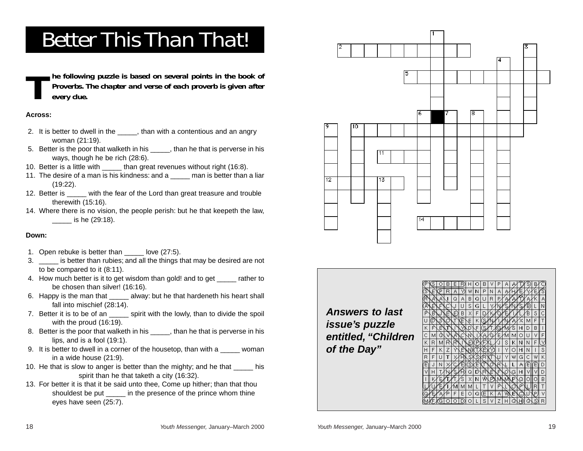# *Better This Than That!*

*The following puzzle is based on several points in the book of Proverbs. The chapter and verse of each proverb is given after every clue.*

#### **Across:**

- 2. It is better to dwell in the , than with a contentious and an angry woman (21:19).
- 5. Better is the poor that walketh in his \_\_\_\_\_, than he that is perverse in his ways, though he be rich (28:6).
- 10. Better is a little with \_\_\_\_\_ than great revenues without right (16:8).
- 11. The desire of a man is his kindness: and a \_\_\_\_\_\_ man is better than a liar  $(19:22)$ .
- 12. Better is with the fear of the Lord than great treasure and trouble therewith (15:16).
- 14. Where there is no vision, the people perish: but he that keepeth the law, \_\_\_\_\_ is he (29:18).

#### **Down:**

- 1. Open rebuke is better than love (27:5).
- 3. \_\_\_\_\_ is better than rubies; and all the things that may be desired are not to be compared to it (8:11).
- 4. How much better is it to get wisdom than gold! and to get \_\_\_\_\_ rather to be chosen than silver! (16:16).
- 6. Happy is the man that alway: but he that hardeneth his heart shall fall into mischief (28:14).
- 7. Better it is to be of an spirit with the lowly, than to divide the spoil with the proud (16:19).
- 8. Better is the poor that walketh in his than he that is perverse in his lips, and is a fool (19:1).
- 9. It is better to dwell in a corner of the housetop, than with a woman in a wide house (21:9).
- 10. He that is slow to anger is better than the mighty; and he that his spirit than he that taketh a city (16:32).
- 13. For better it is that it be said unto thee, Come up hither; than that thou shouldest be put in the presence of the prince whom thine eyes have seen (25:7).



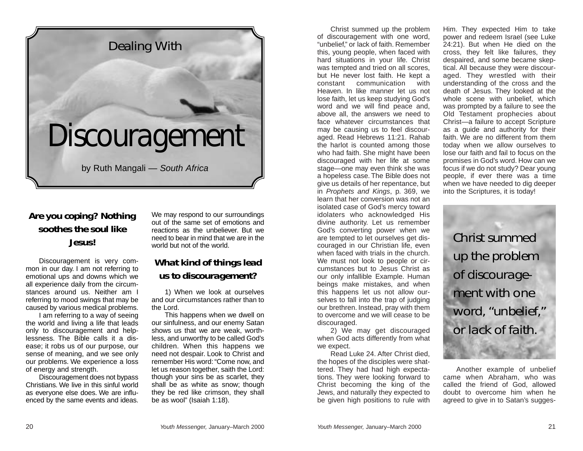

# *Are you coping? Nothing soothes the soul like Jesus!*

Discouragement is very common in our day. I am not referring to emotional ups and downs which we all experience daily from the circumstances around us. Neither am I referring to mood swings that may be caused by various medical problems.

I am referring to a way of seeing the world and living a life that leads only to discouragement and helplessness. The Bible calls it a disease; it robs us of our purpose, our sense of meaning, and we see only our problems. We experience a loss of energy and strength.

Discouragement does not bypass Christians. We live in this sinful world as everyone else does. We are influenced by the same events and ideas.

We may respond to our surroundings out of the same set of emotions and reactions as the unbeliever. But we need to bear in mind that we are in the world but not of the world.

## *What kind of things lead us to discouragement?*

1) When we look at ourselves and our circumstances rather than to the Lord.

This happens when we dwell on our sinfulness, and our enemy Satan shows us that we are weak, worthless, and unworthy to be called God's children. When this happens we need not despair. Look to Christ and remember His word: "Come now, and let us reason together, saith the Lord: though your sins be as scarlet, they shall be as white as snow; though they be red like crimson, they shall be as wool" (Isaiah 1:18).

Christ summed up the problem of discouragement with one word, "unbelief," or lack of faith. Remember this, young people, when faced with hard situations in your life. Christ was tempted and tried on all scores, but He never lost faith. He kept a constant communication with Heaven. In like manner let us not lose faith, let us keep studying God's word and we will find peace and, above all, the answers we need to face whatever circumstances that may be causing us to feel discouraged. Read Hebrews 11:21. Rahab the harlot is counted among those who had faith. She might have been discouraged with her life at some stage—one may even think she was a hopeless case. The Bible does not give us details of her repentance, but in Prophets and Kings, p. 369, we learn that her conversion was not an isolated case of God's mercy toward idolaters who acknowledged His divine authority. Let us remember God's converting power when we are tempted to let ourselves get discouraged in our Christian life, even when faced with trials in the church. We must not look to people or circumstances but to Jesus Christ as our only infallible Example. Human beings make mistakes, and when this happens let us not allow ourselves to fall into the trap of judging our brethren. Instead, pray with them to overcome and we will cease to be discouraged.

2) We may get discouraged when God acts differently from what we expect.

Read Luke 24. After Christ died, the hopes of the disciples were shattered. They had had high expectations. They were looking forward to Christ becoming the king of the Jews, and naturally they expected to be given high positions to rule with Him. They expected Him to take power and redeem Israel (see Luke 24:21). But when He died on the cross, they felt like failures, they despaired, and some became skeptical. All because they were discouraged. They wrestled with their understanding of the cross and the death of Jesus. They looked at the whole scene with unbelief, which was prompted by a failure to see the Old Testament prophecies about Christ—a failure to accept Scripture as a guide and authority for their faith. We are no different from them today when we allow ourselves to lose our faith and fail to focus on the promises in God's word. How can we focus if we do not study? Dear young people, if ever there was a time when we have needed to dig deeper into the Scriptures, it is today!

*Christ summed up the problem of discourage ment with one word, "unbelief," or lack of faith.*

Another example of unbelief came when Abraham, who was called the friend of God, allowed doubt to overcome him when he agreed to give in to Satan's sugges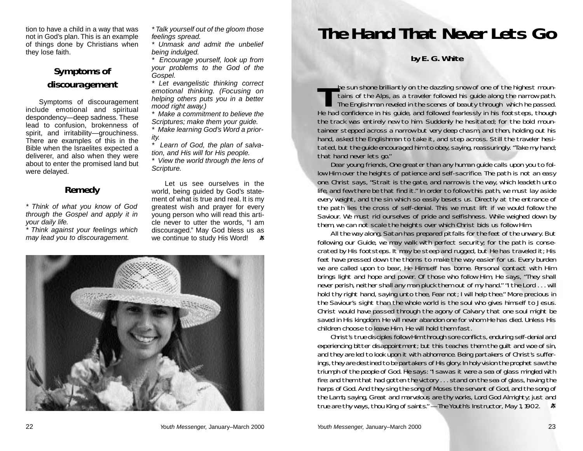tion to have a child in a way that was not in God's plan. This is an example of things done by Christians when they lose faith.

## *Symptoms of discouragement*

Symptoms of discouragement include emotional and spiritual despondency—deep sadness.These lead to confusion, brokenness of spirit, and irritability—grouchiness. There are examples of this in the Bible when the Israelites expected a deliverer, and also when they were about to enter the promised land but were delayed.

### *Remedy*

\* Think of what you know of God through the Gospel and apply it in your daily life.

\* Think against your feelings which may lead you to discouragement.

\* Talk yourself out of the gloom those feelings spread.

\* Unmask and admit the unbelief being indulged.

\* Encourage yourself, look up from your problems to the God of the Gospel.

\* Let evangelistic thinking correct emotional thinking. (Focusing on helping others puts you in a better mood right away.)

\* Make a commitment to believe the Scriptures; make them your guide.

Make learning God's Word a priority.

Learn of God, the plan of salvation, and His will for His people.

\* View the world through the lens of Scripture.

Let us see ourselves in the world, being guided by God's statement of what is true and real. It is my greatest wish and prayer for every young person who will read this article never to utter the words, "I am discouraged." May God bless us as we continue to study His Word! 老



# *The Hand That Never Lets Go*

*by E. G. White*

The sun shone brilliantly on the dazzling snow of one of the highest mountains of the Alps, as a traveler followed his guide along the narrow path.<br>The Englishman reveled in the scenes of beauty through which he passed. He had confidence in his guide, and followed fearlessly in his footsteps, though the track was entirely new to him. Suddenly he hesitated; for the bold mountaineer stepped across a narrow but very deep chasm, and then, holding out his hand, asked the Englishman to take it, and step across. Still the traveler hesitated, but the guide encouraged him to obey, saying, reassuringly. "Take my hand; that hand never lets go."

Dear young friends, One greater than any human guide calls upon you to follow Him over the heights of patience and self-sacrifice. The path is not an easy one. Christ says, "Strait is the gate, and narrow is the way, which leadeth unto life, and few there be that find it." In order to follow this path, we must lay aside every weight, and the sin which so easily besets us. Directly at the entrance of the path lies the cross of self-denial. This we must lift if we would follow the Saviour. We must rid ourselves of pride and selfishness. While weighed down by them, we can not scale the heights over which Christ bids us follow Him.

All the way along, Satan has prepared pitfalls for the feet of the unwary. But following our Guide, we may walk with perfect security; for the path is consecrated by His footsteps. It may be steep and rugged, but He has traveled it; His feet have pressed down the thorns to make the way easier for us. Every burden we are called upon to bear, He Himself has borne. Personal contact with Him brings light and hope and power. Of those who follow Him, He says, "They shall never perish, neither shall any man pluck them out of my hand." "I the Lord . . . will hold thy right hand, saying unto thee, Fear not; I will help thee." More precious in the Saviour's sight than the whole world is the soul who gives himself to Jesus. Christ would have passed through the agony of Calvary that one soul might be saved in His kingdom. He will never abandon one for whom He has died. Unless His children choose to leave Him, He will hold them fast.

Christ's true disciples follow Him through sore conflicts, enduring self-denial and experiencing bitter disappointment; but this teaches them the guilt and woe of sin, and they are led to look upon it with abhorrence. Being partakers of Christ's sufferings, they are destined to be partakers of His glory. In holy vision the prophet saw the triumph of the people of God. He says: "I saw as it were a sea of glass mingled with fire: and them that had gotten the victory . . . stand on the sea of glass, having the harps of God. And they sing the song of Moses the servant of God, and the song of the Lamb, saying, Great and marvelous are thy works, Lord God Almighty; just and true are thy ways, thou King of saints." —*The Youth's Instructor*, May 1, 1902.